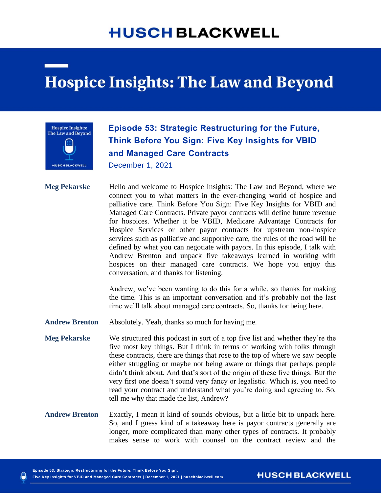## **HUSCH BLACKWELL**

# **Hospice Insights: The Law and Beyond**



### **Episode 53: Strategic Restructuring for the Future, Think Before You Sign: Five Key Insights for VBID and Managed Care Contracts**

December 1, 2021

**Meg Pekarske** Hello and welcome to Hospice Insights: The Law and Beyond, where we connect you to what matters in the ever-changing world of hospice and palliative care. Think Before You Sign: Five Key Insights for VBID and Managed Care Contracts. Private payor contracts will define future revenue for hospices. Whether it be VBID, Medicare Advantage Contracts for Hospice Services or other payor contracts for upstream non-hospice services such as palliative and supportive care, the rules of the road will be defined by what you can negotiate with payors. In this episode, I talk with Andrew Brenton and unpack five takeaways learned in working with hospices on their managed care contracts. We hope you enjoy this conversation, and thanks for listening.

> Andrew, we've been wanting to do this for a while, so thanks for making the time. This is an important conversation and it's probably not the last time we'll talk about managed care contracts. So, thanks for being here.

**Andrew Brenton** Absolutely. Yeah, thanks so much for having me.

- **Meg Pekarske** We structured this podcast in sort of a top five list and whether they're the five most key things. But I think in terms of working with folks through these contracts, there are things that rose to the top of where we saw people either struggling or maybe not being aware or things that perhaps people didn't think about. And that's sort of the origin of these five things. But the very first one doesn't sound very fancy or legalistic. Which is, you need to read your contract and understand what you're doing and agreeing to. So, tell me why that made the list, Andrew?
- **Andrew Brenton** Exactly, I mean it kind of sounds obvious, but a little bit to unpack here. So, and I guess kind of a takeaway here is payor contracts generally are longer, more complicated than many other types of contracts. It probably makes sense to work with counsel on the contract review and the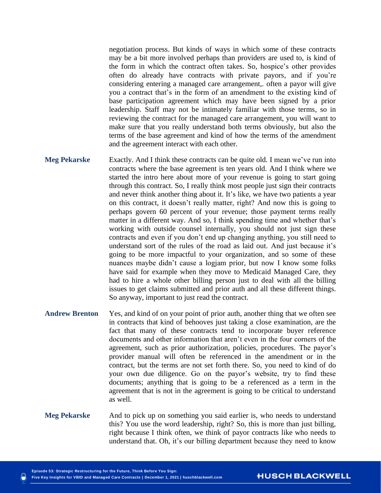negotiation process. But kinds of ways in which some of these contracts may be a bit more involved perhaps than providers are used to, is kind of the form in which the contract often takes. So, hospice's other provides often do already have contracts with private payors, and if you're considering entering a managed care arrangement,. often a payor will give you a contract that's in the form of an amendment to the existing kind of base participation agreement which may have been signed by a prior leadership. Staff may not be intimately familiar with those terms, so in reviewing the contract for the managed care arrangement, you will want to make sure that you really understand both terms obviously, but also the terms of the base agreement and kind of how the terms of the amendment and the agreement interact with each other.

- **Meg Pekarske** Exactly. And I think these contracts can be quite old. I mean we've run into contracts where the base agreement is ten years old. And I think where we started the intro here about more of your revenue is going to start going through this contract. So, I really think most people just sign their contracts and never think another thing about it. It's like, we have two patients a year on this contract, it doesn't really matter, right? And now this is going to perhaps govern 60 percent of your revenue; those payment terms really matter in a different way. And so, I think spending time and whether that's working with outside counsel internally, you should not just sign these contracts and even if you don't end up changing anything, you still need to understand sort of the rules of the road as laid out. And just because it's going to be more impactful to your organization, and so some of these nuances maybe didn't cause a logjam prior, but now I know some folks have said for example when they move to Medicaid Managed Care, they had to hire a whole other billing person just to deal with all the billing issues to get claims submitted and prior auth and all these different things. So anyway, important to just read the contract.
- **Andrew Brenton** Yes, and kind of on your point of prior auth, another thing that we often see in contracts that kind of behooves just taking a close examination, are the fact that many of these contracts tend to incorporate buyer reference documents and other information that aren't even in the four corners of the agreement, such as prior authorization, policies, procedures. The payor's provider manual will often be referenced in the amendment or in the contract, but the terms are not set forth there. So, you need to kind of do your own due diligence. Go on the payor's website, try to find these documents; anything that is going to be a referenced as a term in the agreement that is not in the agreement is going to be critical to understand as well.
- **Meg Pekarske** And to pick up on something you said earlier is, who needs to understand this? You use the word leadership, right? So, this is more than just billing, right because I think often, we think of payor contracts like who needs to understand that. Oh, it's our billing department because they need to know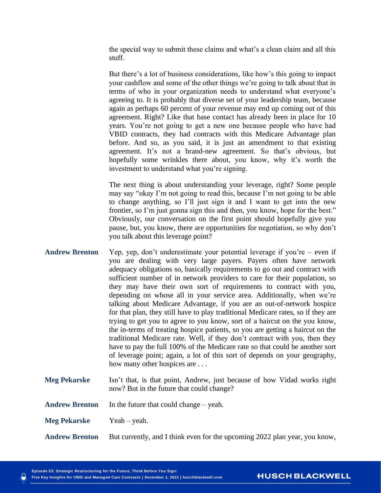the special way to submit these claims and what's a clean claim and all this stuff.

But there's a lot of business considerations, like how's this going to impact your cashflow and some of the other things we're going to talk about that in terms of who in your organization needs to understand what everyone's agreeing to. It is probably that diverse set of your leadership team, because again as perhaps 60 percent of your revenue may end up coming out of this agreement. Right? Like that base contact has already been in place for 10 years. You're not going to get a new one because people who have had VBID contracts, they had contracts with this Medicare Advantage plan before. And so, as you said, it is just an amendment to that existing agreement. It's not a brand-new agreement. So that's obvious, but hopefully some wrinkles there about, you know, why it's worth the investment to understand what you're signing.

The next thing is about understanding your leverage, right? Some people may say "okay I'm not going to read this, because I'm not going to be able to change anything, so I'll just sign it and I want to get into the new frontier, so I'm just gonna sign this and then, you know, hope for the best." Obviously, our conversation on the first point should hopefully give you pause, but, you know, there are opportunities for negotiation, so why don't you talk about this leverage point?

- **Andrew Brenton** Yep, yep, don't underestimate your potential leverage if you're even if you are dealing with very large payers. Payers often have network adequacy obligations so, basically requirements to go out and contract with sufficient number of in network providers to care for their population, so they may have their own sort of requirements to contract with you, depending on whose all in your service area. Additionally, when we're talking about Medicare Advantage, if you are an out-of-network hospice for that plan, they still have to play traditional Medicare rates, so if they are trying to get you to agree to you know, sort of a haircut on the you know, the in-terms of treating hospice patients, so you are getting a haircut on the traditional Medicare rate. Well, if they don't contract with you, then they have to pay the full 100% of the Medicare rate so that could be another sort of leverage point; again, a lot of this sort of depends on your geography, how many other hospices are ...
- **Meg Pekarske** Isn't that, is that point, Andrew, just because of how Vidad works right now? But in the future that could change?
- **Andrew Brenton** In the future that could change yeah.
- **Meg Pekarske** Yeah yeah.
- **Andrew Brenton** But currently, and I think even for the upcoming 2022 plan year, you know,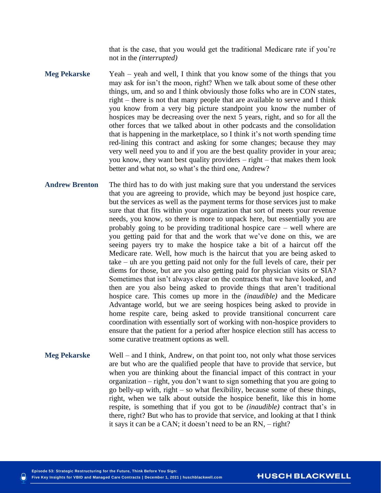that is the case, that you would get the traditional Medicare rate if you're not in the *(interrupted)*

- **Meg Pekarske** Yeah yeah and well, I think that you know some of the things that you may ask for isn't the moon, right? When we talk about some of these other things, um, and so and I think obviously those folks who are in CON states, right – there is not that many people that are available to serve and I think you know from a very big picture standpoint you know the number of hospices may be decreasing over the next 5 years, right, and so for all the other forces that we talked about in other podcasts and the consolidation that is happening in the marketplace, so I think it's not worth spending time red-lining this contract and asking for some changes; because they may very well need you to and if you are the best quality provider in your area; you know, they want best quality providers – right – that makes them look better and what not, so what's the third one, Andrew?
- **Andrew Brenton** The third has to do with just making sure that you understand the services that you are agreeing to provide, which may be beyond just hospice care, but the services as well as the payment terms for those services just to make sure that that fits within your organization that sort of meets your revenue needs, you know, so there is more to unpack here, but essentially you are probably going to be providing traditional hospice care – well where are you getting paid for that and the work that we've done on this, we are seeing payers try to make the hospice take a bit of a haircut off the Medicare rate. Well, how much is the haircut that you are being asked to take – uh are you getting paid not only for the full levels of care, their per diems for those, but are you also getting paid for physician visits or SIA? Sometimes that isn't always clear on the contracts that we have looked, and then are you also being asked to provide things that aren't traditional hospice care. This comes up more in the *(inaudible)* and the Medicare Advantage world, but we are seeing hospices being asked to provide in home respite care, being asked to provide transitional concurrent care coordination with essentially sort of working with non-hospice providers to ensure that the patient for a period after hospice election still has access to some curative treatment options as well.
- **Meg Pekarske** Well and I think, Andrew, on that point too, not only what those services are but who are the qualified people that have to provide that service, but when you are thinking about the financial impact of this contract in your organization – right, you don't want to sign something that you are going to go belly-up with, right – so what flexibility, because some of these things, right, when we talk about outside the hospice benefit, like this in home respite, is something that if you got to be *(inaudible)* contract that's in there, right? But who has to provide that service, and looking at that I think it says it can be a CAN; it doesn't need to be an RN, – right?

**HUSCH BLACKWELL**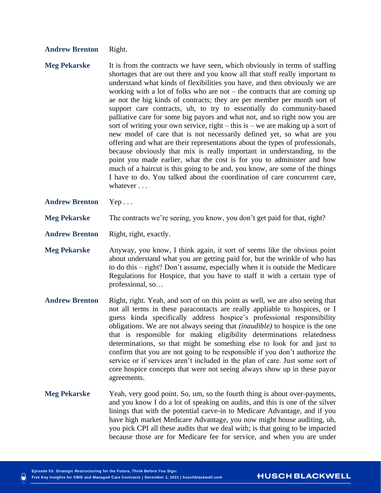### **Andrew Brenton** Right.

- **Meg Pekarske** It is from the contracts we have seen, which obviously in terms of staffing shortages that are out there and you know all that stuff really important to understand what kinds of flexibilities you have, and then obviously we are working with a lot of folks who are not – the contracts that are coming up ae not the big kinds of contracts; they are per member per month sort of support care contracts, uh, to try to essentially do community-based palliative care for some big payors and what not, and so right now you are sort of writing your own service, right – this is – we are making up a sort of new model of care that is not necessarily defined yet, so what are you offering and what are their representations about the types of professionals, because obviously that mix is really important in understanding, to the point you made earlier, what the cost is for you to administer and how much of a haircut is this going to be and, you know, are some of the things I have to do. You talked about the coordination of care concurrent care, whatever . . .
- **Andrew Brenton** Yep . . .

#### **Meg Pekarske** The contracts we're seeing, you know, you don't get paid for that, right?

**Andrew Brenton** Right, right, exactly.

- **Meg Pekarske** Anyway, you know, I think again, it sort of seems like the obvious point about understand what you are getting paid for, but the wrinkle of who has to do this – right? Don't assume, especially when it is outside the Medicare Regulations for Hospice, that you have to staff it with a certain type of professional, so…
- **Andrew Brenton** Right, right. Yeah, and sort of on this point as well, we are also seeing that not all terms in these paracontacts are really appliable to hospices, or I guess kinda specifically address hospice's professional responsibility obligations. We are not always seeing that *(inaudible)* to hospice is the one that is responsible for making eligibility determinations relatedness determinations, so that might be something else to look for and just to confirm that you are not going to be responsible if you don't authorize the service or if services aren't included in the plan of care. Just some sort of core hospice concepts that were not seeing always show up in these payor agreements.
- **Meg Pekarske** Yeah, very good point. So, um, so the fourth thing is about over-payments, and you know I do a lot of speaking on audits, and this is one of the silver linings that with the potential carve-in to Medicare Advantage, and if you have high market Medicare Advantage, you now might house auditing, uh, you pick CPI all these audits that we deal with; is that going to be impacted because those are for Medicare fee for service, and when you are under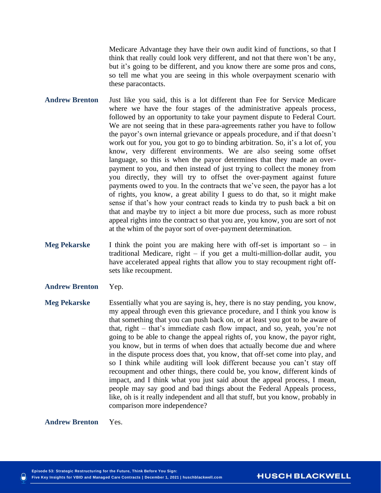Medicare Advantage they have their own audit kind of functions, so that I think that really could look very different, and not that there won't be any, but it's going to be different, and you know there are some pros and cons, so tell me what you are seeing in this whole overpayment scenario with these paracontacts.

- **Andrew Brenton** Just like you said, this is a lot different than Fee for Service Medicare where we have the four stages of the administrative appeals process, followed by an opportunity to take your payment dispute to Federal Court. We are not seeing that in these para-agreements rather you have to follow the payor's own internal grievance or appeals procedure, and if that doesn't work out for you, you got to go to binding arbitration. So, it's a lot of, you know, very different environments. We are also seeing some offset language, so this is when the payor determines that they made an overpayment to you, and then instead of just trying to collect the money from you directly, they will try to offset the over-payment against future payments owed to you. In the contracts that we've seen, the payor has a lot of rights, you know, a great ability I guess to do that, so it might make sense if that's how your contract reads to kinda try to push back a bit on that and maybe try to inject a bit more due process, such as more robust appeal rights into the contract so that you are, you know, you are sort of not at the whim of the payor sort of over-payment determination.
- **Meg Pekarske** I think the point you are making here with off-set is important so in traditional Medicare, right – if you get a multi-million-dollar audit, you have accelerated appeal rights that allow you to stay recoupment right offsets like recoupment.
- **Andrew Brenton** Yep.
- **Meg Pekarske** Essentially what you are saying is, hey, there is no stay pending, you know, my appeal through even this grievance procedure, and I think you know is that something that you can push back on, or at least you got to be aware of that, right – that's immediate cash flow impact, and so, yeah, you're not going to be able to change the appeal rights of, you know, the payor right, you know, but in terms of when does that actually become due and where in the dispute process does that, you know, that off-set come into play, and so I think while auditing will look different because you can't stay off recoupment and other things, there could be, you know, different kinds of impact, and I think what you just said about the appeal process, I mean, people may say good and bad things about the Federal Appeals process, like, oh is it really independent and all that stuff, but you know, probably in comparison more independence?

**Andrew Brenton** Yes.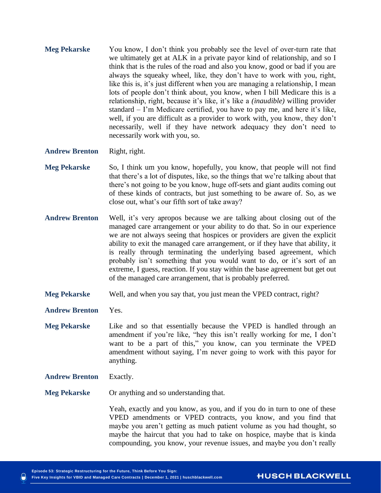**Meg Pekarske** You know, I don't think you probably see the level of over-turn rate that we ultimately get at ALK in a private payor kind of relationship, and so I think that is the rules of the road and also you know, good or bad if you are always the squeaky wheel, like, they don't have to work with you, right, like this is, it's just different when you are managing a relationship, I mean lots of people don't think about, you know, when I bill Medicare this is a relationship, right, because it's like, it's like a *(inaudible)* willing provider standard – I'm Medicare certified, you have to pay me, and here it's like, well, if you are difficult as a provider to work with, you know, they don't necessarily, well if they have network adequacy they don't need to necessarily work with you, so.

**Andrew Brenton** Right, right.

- **Meg Pekarske** So, I think um you know, hopefully, you know, that people will not find that there's a lot of disputes, like, so the things that we're talking about that there's not going to be you know, huge off-sets and giant audits coming out of these kinds of contracts, but just something to be aware of. So, as we close out, what's our fifth sort of take away?
- **Andrew Brenton** Well, it's very apropos because we are talking about closing out of the managed care arrangement or your ability to do that. So in our experience we are not always seeing that hospices or providers are given the explicit ability to exit the managed care arrangement, or if they have that ability, it is really through terminating the underlying based agreement, which probably isn't something that you would want to do, or it's sort of an extreme, I guess, reaction. If you stay within the base agreement but get out of the managed care arrangement, that is probably preferred.
- **Meg Pekarske** Well, and when you say that, you just mean the VPED contract, right?
- **Andrew Brenton** Yes.
- **Meg Pekarske** Like and so that essentially because the VPED is handled through an amendment if you're like, "hey this isn't really working for me, I don't want to be a part of this," you know, can you terminate the VPED amendment without saying, I'm never going to work with this payor for anything.
- **Andrew Brenton** Exactly.

**Meg Pekarske** Or anything and so understanding that.

Yeah, exactly and you know, as you, and if you do in turn to one of these VPED amendments or VPED contracts, you know, and you find that maybe you aren't getting as much patient volume as you had thought, so maybe the haircut that you had to take on hospice, maybe that is kinda compounding, you know, your revenue issues, and maybe you don't really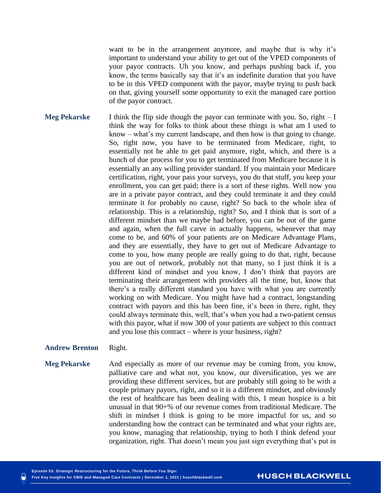want to be in the arrangement anymore, and maybe that is why it's important to understand your ability to get out of the VPED components of your payor contracts. Uh you know, and perhaps pushing back if, you know, the terms basically say that it's an indefinite duration that you have to be in this VPED component with the payor, maybe trying to push back on that, giving yourself some opportunity to exit the managed care portion of the payor contract.

**Meg Pekarske** I think the flip side though the payor can terminate with you. So, right – I think the way for folks to think about these things is what am I used to know – what's my current landscape, and then how is that going to change. So, right now, you have to be terminated from Medicare, right, to essentially not be able to get paid anymore, right, which, and there is a bunch of due process for you to get terminated from Medicare because it is essentially an any willing provider standard. If you maintain your Medicare certification, right, your pass your surveys, you do that stuff, you keep your enrollment, you can get paid; there is a sort of these rights. Well now you are in a private payor contract, and they could terminate it and they could terminate it for probably no cause, right? So back to the whole idea of relationship. This is a relationship, right? So, and I think that is sort of a different mindset than we maybe had before, you can be out of the game and again, when the full carve in actually happens, whenever that may come to be, and 60% of your patients are on Medicare Advantage Plans, and they are essentially, they have to get out of Medicare Advantage to come to you, how many people are really going to do that, right, because you are out of network, probably not that many, so I just think it is a different kind of mindset and you know, I don't think that payors are terminating their arrangement with providers all the time, but, know that there's a really different standard you have with what you are currently working on with Medicare. You might have had a contract, longstanding contract with payors and this has been fine, it's been in there, right, they could always terminate this, well, that's when you had a two-patient census with this payor, what if now 300 of your patients are subject to this contract and you lose this contract – where is your business, right?

#### **Andrew Brenton** Right.

**Meg Pekarske** And especially as more of our revenue may be coming from, you know, palliative care and what not, you know, our diversification, yes we are providing these different services, but are probably still going to be with a couple primary payors, right, and so it is a different mindset, and obviously the rest of healthcare has been dealing with this, I mean hospice is a bit unusual in that 90+% of our revenue comes from traditional Medicare. The shift in mindset I think is going to be more impactful for us, and so understanding how the contract can be terminated and what your rights are, you know, managing that relationship, trying to both I think defend your organization, right. That doesn't mean you just sign everything that's put in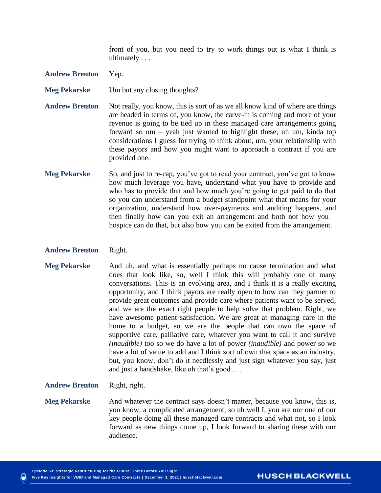front of you, but you need to try to work things out is what I think is ultimately . . .

- **Andrew Brenton** Yep.
- **Meg Pekarske** Um but any closing thoughts?
- **Andrew Brenton** Not really, you know, this is sort of as we all know kind of where are things are headed in terms of, you know, the carve-in is coming and more of your revenue is going to be tied up in these managed care arrangements going forward so um – yeah just wanted to highlight these, uh um, kinda top considerations I guess for trying to think about, um, your relationship with these payors and how you might want to approach a contract if you are provided one.
- **Meg Pekarske** So, and just to re-cap, you've got to read your contract, you've got to know how much leverage you have, understand what you have to provide and who has to provide that and how much you're going to get paid to do that so you can understand from a budget standpoint what that means for your organization, understand how over-payments and auditing happens, and then finally how can you exit an arrangement and both not how you – hospice can do that, but also how you can be exited from the arrangement. .
- **Andrew Brenton** Right.

.

- **Meg Pekarske** And uh, and what is essentially perhaps no cause termination and what does that look like, so, well I think this will probably one of many conversations. This is an evolving area, and I think it is a really exciting opportunity, and I think payors are really open to how can they partner to provide great outcomes and provide care where patients want to be served, and we are the exact right people to help solve that problem. Right, we have awesome patient satisfaction. We are great at managing care in the home to a budget, so we are the people that can own the space of supportive care, palliative care, whatever you want to call it and survive *(inaudible)* too so we do have a lot of power *(inaudible)* and power so we have a lot of value to add and I think sort of own that space as an industry, but, you know, don't do it needlessly and just sign whatever you say, just and just a handshake, like oh that's good . . .
- **Andrew Brenton** Right, right.
- **Meg Pekarske** And whatever the contract says doesn't matter, because you know, this is, you know, a complicated arrangement, so uh well I, you are our one of our key people doing all these managed care contracts and what not, so I look forward as new things come up, I look forward to sharing these with our audience.